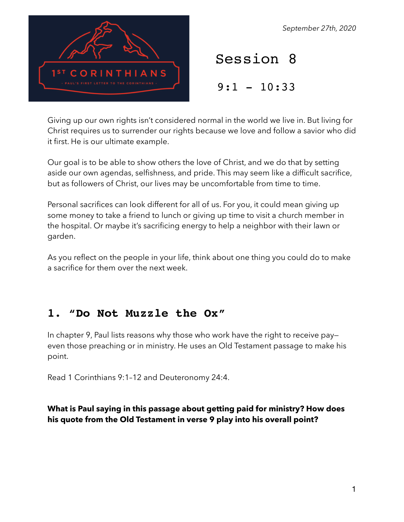

*September 27th, 2020*

Session 8

 $9:1 - 10:33$ 

Giving up our own rights isn't considered normal in the world we live in. But living for Christ requires us to surrender our rights because we love and follow a savior who did it first. He is our ultimate example.

Our goal is to be able to show others the love of Christ, and we do that by setting aside our own agendas, selfishness, and pride. This may seem like a difficult sacrifice, but as followers of Christ, our lives may be uncomfortable from time to time.

Personal sacrifices can look different for all of us. For you, it could mean giving up some money to take a friend to lunch or giving up time to visit a church member in the hospital. Or maybe it's sacrificing energy to help a neighbor with their lawn or garden.

As you reflect on the people in your life, think about one thing you could do to make a sacrifice for them over the next week.

# **1. "Do Not Muzzle the Ox"**

In chapter 9, Paul lists reasons why those who work have the right to receive pay even those preaching or in ministry. He uses an Old Testament passage to make his point.

Read 1 Corinthians 9:1–12 and Deuteronomy 24:4.

#### **What is Paul saying in this passage about getting paid for ministry? How does his quote from the Old Testament in verse 9 play into his overall point?**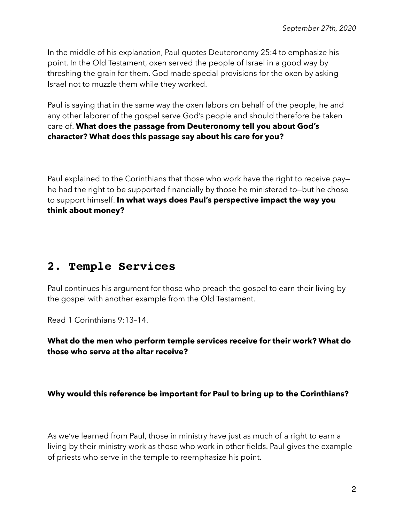In the middle of his explanation, Paul quotes Deuteronomy 25:4 to emphasize his point. In the Old Testament, oxen served the people of Israel in a good way by threshing the grain for them. God made special provisions for the oxen by asking Israel not to muzzle them while they worked.

Paul is saying that in the same way the oxen labors on behalf of the people, he and any other laborer of the gospel serve God's people and should therefore be taken care of. **What does the passage from Deuteronomy tell you about God's character? What does this passage say about his care for you?** 

Paul explained to the Corinthians that those who work have the right to receive pay he had the right to be supported financially by those he ministered to—but he chose to support himself. **In what ways does Paul's perspective impact the way you think about money?** 

## **2. Temple Services**

Paul continues his argument for those who preach the gospel to earn their living by the gospel with another example from the Old Testament.

Read 1 Corinthians 9:13–14.

### **What do the men who perform temple services receive for their work? What do those who serve at the altar receive?**

#### **Why would this reference be important for Paul to bring up to the Corinthians?**

As we've learned from Paul, those in ministry have just as much of a right to earn a living by their ministry work as those who work in other fields. Paul gives the example of priests who serve in the temple to reemphasize his point.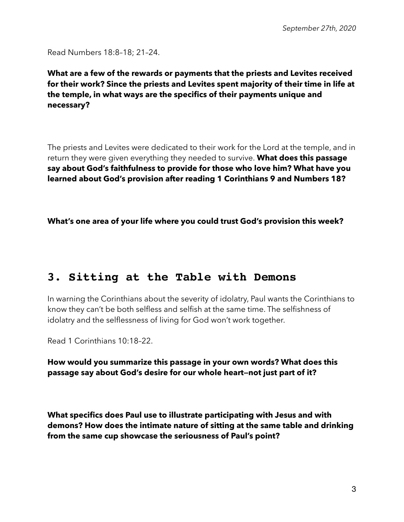Read Numbers 18:8–18; 21–24.

**What are a few of the rewards or payments that the priests and Levites received for their work? Since the priests and Levites spent majority of their time in life at the temple, in what ways are the specifics of their payments unique and necessary?** 

The priests and Levites were dedicated to their work for the Lord at the temple, and in return they were given everything they needed to survive. **What does this passage say about God's faithfulness to provide for those who love him? What have you learned about God's provision after reading 1 Corinthians 9 and Numbers 18?** 

**What's one area of your life where you could trust God's provision this week?** 

## **3. Sitting at the Table with Demons**

In warning the Corinthians about the severity of idolatry, Paul wants the Corinthians to know they can't be both selfless and selfish at the same time. The selfishness of idolatry and the selflessness of living for God won't work together.

Read 1 Corinthians 10:18–22.

**How would you summarize this passage in your own words? What does this passage say about God's desire for our whole heart—not just part of it?** 

**What specifics does Paul use to illustrate participating with Jesus and with demons? How does the intimate nature of sitting at the same table and drinking from the same cup showcase the seriousness of Paul's point?**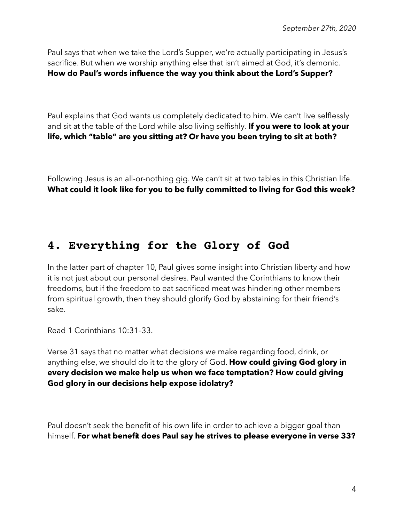Paul says that when we take the Lord's Supper, we're actually participating in Jesus's sacrifice. But when we worship anything else that isn't aimed at God, it's demonic. **How do Paul's words influence the way you think about the Lord's Supper?** 

Paul explains that God wants us completely dedicated to him. We can't live selflessly and sit at the table of the Lord while also living selfishly. **If you were to look at your life, which "table" are you sitting at? Or have you been trying to sit at both?** 

Following Jesus is an all-or-nothing gig. We can't sit at two tables in this Christian life. **What could it look like for you to be fully committed to living for God this week?** 

### **4. Everything for the Glory of God**

In the latter part of chapter 10, Paul gives some insight into Christian liberty and how it is not just about our personal desires. Paul wanted the Corinthians to know their freedoms, but if the freedom to eat sacrificed meat was hindering other members from spiritual growth, then they should glorify God by abstaining for their friend's sake.

Read 1 Corinthians 10:31–33.

Verse 31 says that no matter what decisions we make regarding food, drink, or anything else, we should do it to the glory of God. **How could giving God glory in every decision we make help us when we face temptation? How could giving God glory in our decisions help expose idolatry?** 

Paul doesn't seek the benefit of his own life in order to achieve a bigger goal than himself. **For what benefit does Paul say he strives to please everyone in verse 33?**